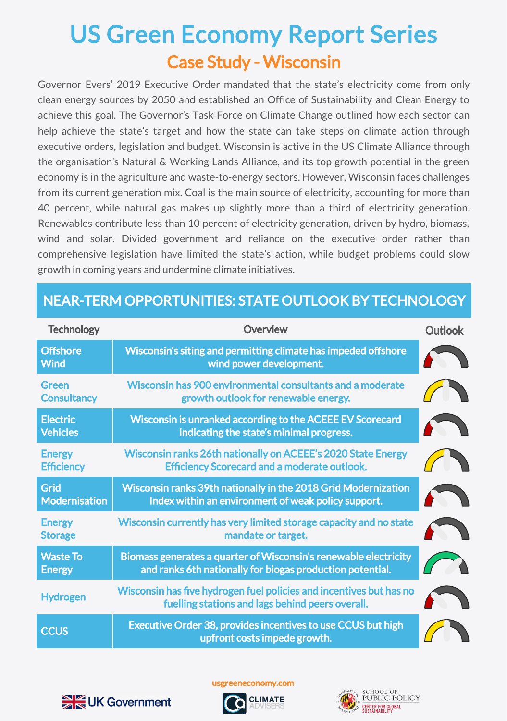## Case Study - Wisconsin US Green Economy Report Series

Governor Evers' 2019 Executive Order mandated that the state's electricity come from only clean energy sources by 2050 and established an Office of Sustainability and Clean Energy to achieve this goal. The Governor's Task Force on Climate Change outlined how each sector can help achieve the state's target and how the state can take steps on climate action through executive orders, legislation and budget. Wisconsin is active in the US Climate Alliance through the organisation's Natural & Working Lands Alliance, and its top growth potential in the green economy is in the agriculture and waste-to-energy sectors. However, Wisconsin faces challenges from its current generation mix. Coal is the main source of electricity, accounting for more than 40 percent, while natural gas makes up slightly more than a third of electricity generation. Renewables contribute less than 10 percent of electricity generation, driven by hydro, biomass, wind and solar. Divided government and reliance on the executive order rather than comprehensive legislation have limited the state's action, while budget problems could slow growth in coming years and undermine climate initiatives.

| <b>Technology</b>                   | Overview                                                                                                                      | <b>Outlook</b> |
|-------------------------------------|-------------------------------------------------------------------------------------------------------------------------------|----------------|
| <b>Offshore</b><br><b>Wind</b>      | Wisconsin's siting and permitting climate has impeded offshore<br>wind power development.                                     |                |
| Green<br><b>Consultancy</b>         | Wisconsin has 900 environmental consultants and a moderate<br>growth outlook for renewable energy.                            |                |
| <b>Electric</b><br><b>Vehicles</b>  | Wisconsin is unranked according to the ACEEE EV Scorecard<br>indicating the state's minimal progress.                         |                |
| <b>Energy</b><br><b>Efficiency</b>  | Wisconsin ranks 26th nationally on ACEEE's 2020 State Energy<br><b>Efficiency Scorecard and a moderate outlook.</b>           |                |
| <b>Grid</b><br><b>Modernisation</b> | Wisconsin ranks 39th nationally in the 2018 Grid Modernization<br>Index within an environment of weak policy support.         |                |
| <b>Energy</b><br><b>Storage</b>     | Wisconsin currently has very limited storage capacity and no state<br>mandate or target.                                      |                |
| <b>Waste To</b><br><b>Energy</b>    | Biomass generates a quarter of Wisconsin's renewable electricity<br>and ranks 6th nationally for biogas production potential. |                |
| <b>Hydrogen</b>                     | Wisconsin has five hydrogen fuel policies and incentives but has no<br>fuelling stations and lags behind peers overall.       |                |
| <b>CCUS</b>                         | Executive Order 38, provides incentives to use CCUS but high<br>upfront costs impede growth.                                  |                |

## NEAR-TERM OPPORTUNITIES: STATE OUTLOOK BY TECHNOLOGY



usgreeneconomy.com